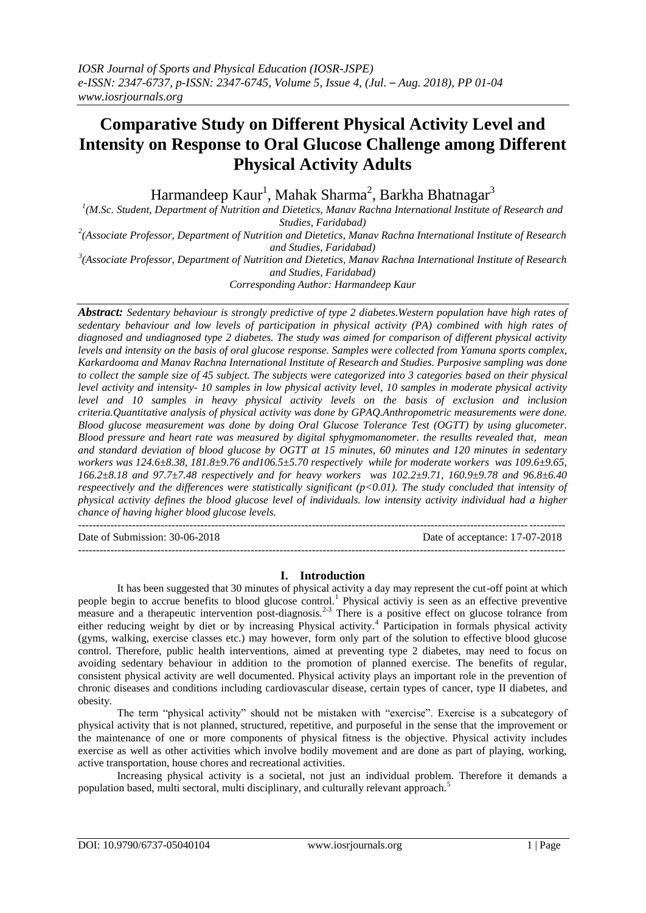# **Comparative Study on Different Physical Activity Level and Intensity on Response to Oral Glucose Challenge among Different Physical Activity Adults**

Harmandeep Kaur<sup>1</sup>, Mahak Sharma<sup>2</sup>, Barkha Bhatnagar $^3$ 

<sup>1</sup>(M.Sc. Student, Department of Nutrition and Dietetics, Manav Rachna International Institute of Research and *Studies, Faridabad)*

*2 (Associate Professor, Department of Nutrition and Dietetics, Manav Rachna International Institute of Research and Studies, Faridabad)*

*3 (Associate Professor, Department of Nutrition and Dietetics, Manav Rachna International Institute of Research and Studies, Faridabad)*

*Corresponding Author: Harmandeep Kaur*

*Abstract: Sedentary behaviour is strongly predictive of type 2 diabetes.Western population have high rates of sedentary behaviour and low levels of participation in physical activity (PA) combined with high rates of diagnosed and undiagnosed type 2 diabetes. The study was aimed for comparison of different physical activity levels and intensity on the basis of oral glucose response. Samples were collected from Yamuna sports complex, Karkardooma and Manav Rachna International Institute of Research and Studies. Purposive sampling was done to collect the sample size of 45 subject. The subjects were categorized into 3 categories based on their physical level activity and intensity- 10 samples in low physical activity level, 10 samples in moderate physical activity level and 10 samples in heavy physical activity levels on the basis of exclusion and inclusion criteria.Quantitative analysis of physical activity was done by GPAQ.Anthropometric measurements were done. Blood glucose measurement was done by doing Oral Glucose Tolerance Test (OGTT) by using glucometer. Blood pressure and heart rate was measured by digital sphygmomanometer. the resullts revealed that, mean and standard deviation of blood glucose by OGTT at 15 minutes, 60 minutes and 120 minutes in sedentary workers was 124.6±8.38, 181.8±9.76 and106.5±5.70 respectively while for moderate workers was 109.6±9.65, 166.2±8.18 and 97.7±7.48 respectively and for heavy workers was 102.2±9.71, 160.9±9.78 and 96.8±6.40 respeectively and the differences were statistically significant (p<0.01). The study concluded that intensity of physical activity defines the blood glucose level of individuals. low intensity activity individual had a higher chance of having higher blood glucose levels.*

---------------------------------------------------------------------------------------------------------------------------------------

Date of Submission: 30-06-2018 Date of acceptance: 17-07-2018

## **I. Introduction**

---------------------------------------------------------------------------------------------------------------------------------------

It has been suggested that 30 minutes of physical activity a day may represent the cut-off point at which people begin to accrue benefits to blood glucose control.<sup>1</sup> Physical activiy is seen as an effective preventive measure and a therapeutic intervention post-diagnosis.<sup>2-3</sup> There is a positive effect on glucose tolrance from either reducing weight by diet or by increasing Physical activity.<sup>4</sup> Participation in formals physical activity (gyms, walking, exercise classes etc.) may however, form only part of the solution to effective blood glucose control. Therefore, public health interventions, aimed at preventing type 2 diabetes, may need to focus on avoiding sedentary behaviour in addition to the promotion of planned exercise. The benefits of regular, consistent physical activity are well documented. Physical activity plays an important role in the prevention of chronic diseases and conditions including cardiovascular disease, certain types of cancer, type II diabetes, and obesity.

The term "physical activity" should not be mistaken with "exercise". Exercise is a subcategory of physical activity that is not planned, structured, repetitive, and purposeful in the sense that the improvement or the maintenance of one or more components of physical fitness is the objective. Physical activity includes exercise as well as other activities which involve bodily movement and are done as part of playing, working, active transportation, house chores and recreational activities.

Increasing physical activity is a societal, not just an individual problem. Therefore it demands a population based, multi sectoral, multi disciplinary, and culturally relevant approach.<sup>5</sup>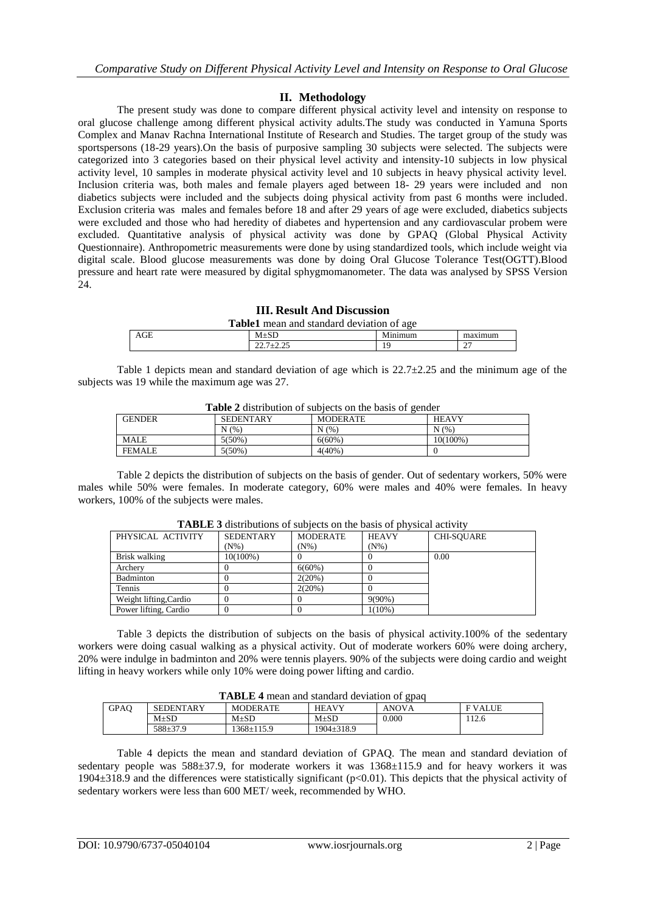# **II. Methodology**

The present study was done to compare different physical activity level and intensity on response to oral glucose challenge among different physical activity adults.The study was conducted in Yamuna Sports Complex and Manav Rachna International Institute of Research and Studies. The target group of the study was sportspersons (18-29 years).On the basis of purposive sampling 30 subjects were selected. The subjects were categorized into 3 categories based on their physical level activity and intensity-10 subjects in low physical activity level, 10 samples in moderate physical activity level and 10 subjects in heavy physical activity level. Inclusion criteria was, both males and female players aged between 18- 29 years were included and non diabetics subjects were included and the subjects doing physical activity from past 6 months were included. Exclusion criteria was males and females before 18 and after 29 years of age were excluded, diabetics subjects were excluded and those who had heredity of diabetes and hypertension and any cardiovascular probem were excluded. Quantitative analysis of physical activity was done by GPAQ (Global Physical Activity Questionnaire). Anthropometric measurements were done by using standardized tools, which include weight via digital scale. Blood glucose measurements was done by doing Oral Glucose Tolerance Test(OGTT).Blood pressure and heart rate were measured by digital sphygmomanometer. The data was analysed by SPSS Version 24.

| TH. Result Alia Discussion                       |               |         |         |  |  |
|--------------------------------------------------|---------------|---------|---------|--|--|
| <b>Table1</b> mean and standard deviation of age |               |         |         |  |  |
| AGE                                              | $M+SD$        | Minimum | maximum |  |  |
|                                                  | $22.7 + 2.25$ | 19      | n-1     |  |  |
|                                                  |               |         |         |  |  |

**III. Result And Discussion**

Table 1 depicts mean and standard deviation of age which is  $22.7\pm2.25$  and the minimum age of the subjects was 19 while the maximum age was 27.

| <b>Table 2</b> distribution of subjects on the basis of gender |                  |                 |              |  |  |  |
|----------------------------------------------------------------|------------------|-----------------|--------------|--|--|--|
| <b>GENDER</b>                                                  | <b>SEDENTARY</b> | <b>MODERATE</b> | <b>HEAVY</b> |  |  |  |
|                                                                | N(% )            | N(% )           | N(% )        |  |  |  |
| <b>MALE</b>                                                    | $5(50\%)$        | $6(60\%)$       | 10(100%)     |  |  |  |
| <b>FEMALE</b>                                                  | $5(50\%)$        | $4(40\%)$       |              |  |  |  |

**Table 2** distribution of subjects on the basis of gender

Table 2 depicts the distribution of subjects on the basis of gender. Out of sedentary workers, 50% were males while 50% were females. In moderate category, 60% were males and 40% were females. In heavy workers, 100% of the subjects were males.

| TADLE 5 distributions of subjects on the basis of bifysical activity |                  |                 |              |            |  |  |
|----------------------------------------------------------------------|------------------|-----------------|--------------|------------|--|--|
| PHYSICAL ACTIVITY                                                    | <b>SEDENTARY</b> | <b>MODERATE</b> | <b>HEAVY</b> | CHI-SOUARE |  |  |
|                                                                      | (N%)             | $(N\%)$         | $(N\%)$      |            |  |  |
| Brisk walking                                                        | 10(100%)         |                 |              | 0.00       |  |  |
| Archery                                                              |                  | $6(60\%)$       |              |            |  |  |
| Badminton                                                            |                  | 2(20%)          |              |            |  |  |
| Tennis                                                               |                  | 2(20%)          |              |            |  |  |
| Weight lifting, Cardio                                               |                  |                 | $9(90\%)$    |            |  |  |
| Power lifting, Cardio                                                |                  |                 | $1(10\%)$    |            |  |  |

**TABLE 3** distributions of subjects on the basis of physical activity

Table 3 depicts the distribution of subjects on the basis of physical activity.100% of the sedentary workers were doing casual walking as a physical activity. Out of moderate workers 60% were doing archery, 20% were indulge in badminton and 20% were tennis players. 90% of the subjects were doing cardio and weight lifting in heavy workers while only 10% were doing power lifting and cardio.

| <b>TABLE 4</b> mean and standard deviation of gpaq |                  |                  |                  |              |               |  |
|----------------------------------------------------|------------------|------------------|------------------|--------------|---------------|--|
| <b>GPAO</b>                                        | <b>SEDENTARY</b> | <b>MODERATE</b>  | <b>HEAVY</b>     | <b>ANOVA</b> | <b>FVALUE</b> |  |
|                                                    | $M+SD$           | $M+SD$           | $M+SD$           | 0.000        | 112.6         |  |
|                                                    | $588 \pm 37.9$   | $1368 \pm 115.9$ | $1904 \pm 318.9$ |              |               |  |

Table 4 depicts the mean and standard deviation of GPAQ. The mean and standard deviation of sedentary people was 588±37.9, for moderate workers it was  $1368±115.9$  and for heavy workers it was 1904 $\pm$ 318.9 and the differences were statistically significant (p<0.01). This depicts that the physical activity of sedentary workers were less than 600 MET/ week, recommended by WHO.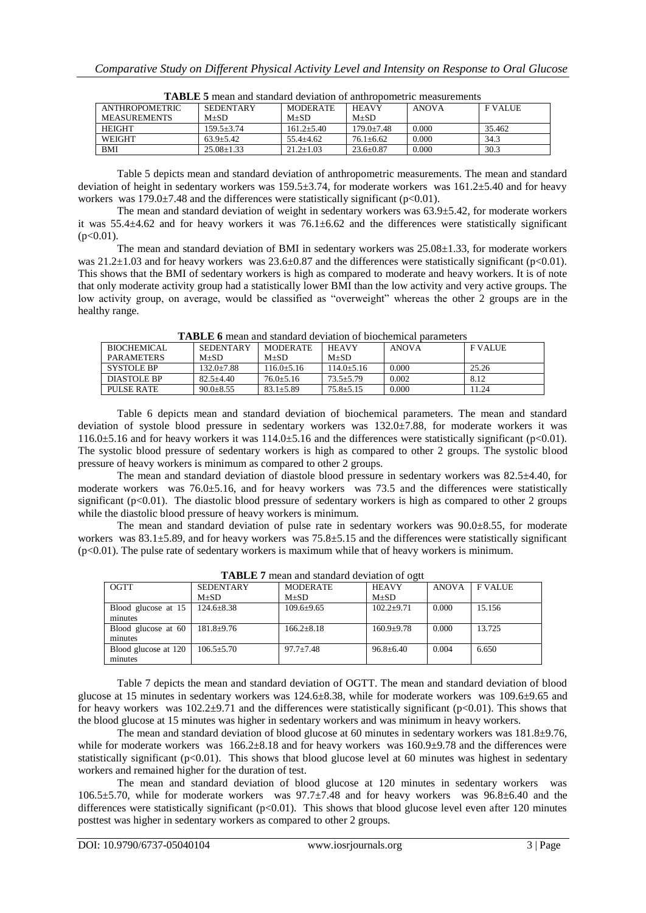| <b>ANTHROPOMETRIC</b> | <b>SEDENTARY</b> | <b>MODERATE</b> | <b>HEAVY</b>   | <b>ANOVA</b> | <b>FVALUE</b> |
|-----------------------|------------------|-----------------|----------------|--------------|---------------|
| <b>MEASUREMENTS</b>   | $M+SD$           | $M+SD$          | $M+SD$         |              |               |
| <b>HEIGHT</b>         | 159.5+3.74       | $161.2 + 5.40$  | $179.0 + 7.48$ | 0.000        | 35.462        |
| <b>WEIGHT</b>         | $63.9 + 5.42$    | $55.4 + 4.62$   | $76.1 + 6.62$  | 0.000        | 34.3          |
| <b>BMI</b>            | $25.08 + 1.33$   | $21.2 + 1.03$   | $23.6 + 0.87$  | 0.000        | 30.3          |

**TABLE 5** mean and standard deviation of anthropometric measurements

Table 5 depicts mean and standard deviation of anthropometric measurements. The mean and standard deviation of height in sedentary workers was 159.5±3.74, for moderate workers was 161.2±5.40 and for heavy workers was  $179.0 \pm 7.48$  and the differences were statistically significant (p<0.01).

The mean and standard deviation of weight in sedentary workers was 63.9±5.42, for moderate workers it was 55.4±4.62 and for heavy workers it was 76.1±6.62 and the differences were statistically significant  $(p<0.01)$ .

The mean and standard deviation of BMI in sedentary workers was 25.08±1.33, for moderate workers was  $21.2\pm1.03$  and for heavy workers was  $23.6\pm0.87$  and the differences were statistically significant (p<0.01). This shows that the BMI of sedentary workers is high as compared to moderate and heavy workers. It is of note that only moderate activity group had a statistically lower BMI than the low activity and very active groups. The low activity group, on average, would be classified as "overweight" whereas the other 2 groups are in the healthy range.

**TABLE 6** mean and standard deviation of biochemical parameters

| BIOCHEMICAL        | <b>SEDENTARY</b> | <b>MODERATE</b> | <b>HEAVY</b>  | <b>ANOVA</b> | <b>FVALUE</b> |
|--------------------|------------------|-----------------|---------------|--------------|---------------|
| <b>PAR AMETERS</b> | $M+SD$           | $M+SD$          | $M+SD$        |              |               |
| SYSTOLE BP         | $132.0 + 7.88$   | $116.0 + 5.16$  | 114.0+5.16    | 0.000        | 25.26         |
| DIASTOLE BP        | $82.5 + 4.40$    | $76.0 + 5.16$   | $73.5 + 5.79$ | 0.002        | 8.12          |
| PULSE RATE         | $90.0 + 8.55$    | $83.1 + 5.89$   | $75.8 + 5.15$ | 0.000        | 11.24         |

Table 6 depicts mean and standard deviation of biochemical parameters. The mean and standard deviation of systole blood pressure in sedentary workers was 132.0±7.88, for moderate workers it was 116.0 $\pm$ 5.16 and for heavy workers it was 114.0 $\pm$ 5.16 and the differences were statistically significant (p<0.01). The systolic blood pressure of sedentary workers is high as compared to other 2 groups. The systolic blood pressure of heavy workers is minimum as compared to other 2 groups.

The mean and standard deviation of diastole blood pressure in sedentary workers was 82.5±4.40, for moderate workers was 76.0±5.16, and for heavy workers was 73.5 and the differences were statistically significant (p<0.01). The diastolic blood pressure of sedentary workers is high as compared to other 2 groups while the diastolic blood pressure of heavy workers is minimum.

The mean and standard deviation of pulse rate in sedentary workers was 90.0±8.55, for moderate workers was  $83.1\pm5.89$ , and for heavy workers was  $75.8\pm5.15$  and the differences were statistically significant (p<0.01). The pulse rate of sedentary workers is maximum while that of heavy workers is minimum.

| TADLE / Illean and standard deviation of ort |                  |                  |                 |              |               |  |
|----------------------------------------------|------------------|------------------|-----------------|--------------|---------------|--|
| <b>OGTT</b>                                  | <b>SEDENTARY</b> | <b>MODERATE</b>  | <b>HEAVY</b>    | <b>ANOVA</b> | <b>FVALUE</b> |  |
|                                              | $M+SD$           | $M\pm SD$        | $M\pm SD$       |              |               |  |
| Blood glucose at 15                          | $124.6 \pm 8.38$ | $109.6 \pm 9.65$ | $102.2+9.71$    | 0.000        | 15.156        |  |
| minutes                                      |                  |                  |                 |              |               |  |
| Blood glucose at 60                          | $181.8 \pm 9.76$ | $166.2 \pm 8.18$ | $160.9 + 9.78$  | 0.000        | 13.725        |  |
| minutes                                      |                  |                  |                 |              |               |  |
| Blood glucose at 120                         | $106.5 \pm 5.70$ | $97.7 + 7.48$    | $96.8 \pm 6.40$ | 0.004        | 6.650         |  |
| minutes                                      |                  |                  |                 |              |               |  |
|                                              |                  |                  |                 |              |               |  |

**TABLE 7** mean and standard deviation of ogtt

Table 7 depicts the mean and standard deviation of OGTT. The mean and standard deviation of blood glucose at 15 minutes in sedentary workers was  $124.6\pm8.38$ , while for moderate workers was  $109.6\pm9.65$  and for heavy workers was  $102.2\pm9.71$  and the differences were statistically significant ( $p<0.01$ ). This shows that the blood glucose at 15 minutes was higher in sedentary workers and was minimum in heavy workers.

The mean and standard deviation of blood glucose at 60 minutes in sedentary workers was  $181.8\pm9.76$ , while for moderate workers was  $166.2\pm8.18$  and for heavy workers was  $160.9\pm9.78$  and the differences were statistically significant ( $p<0.01$ ). This shows that blood glucose level at 60 minutes was highest in sedentary workers and remained higher for the duration of test.

The mean and standard deviation of blood glucose at 120 minutes in sedentary workers was 106.5±5.70, while for moderate workers was 97.7±7.48 and for heavy workers was 96.8±6.40 and the differences were statistically significant ( $p<0.01$ ). This shows that blood glucose level even after 120 minutes posttest was higher in sedentary workers as compared to other 2 groups.